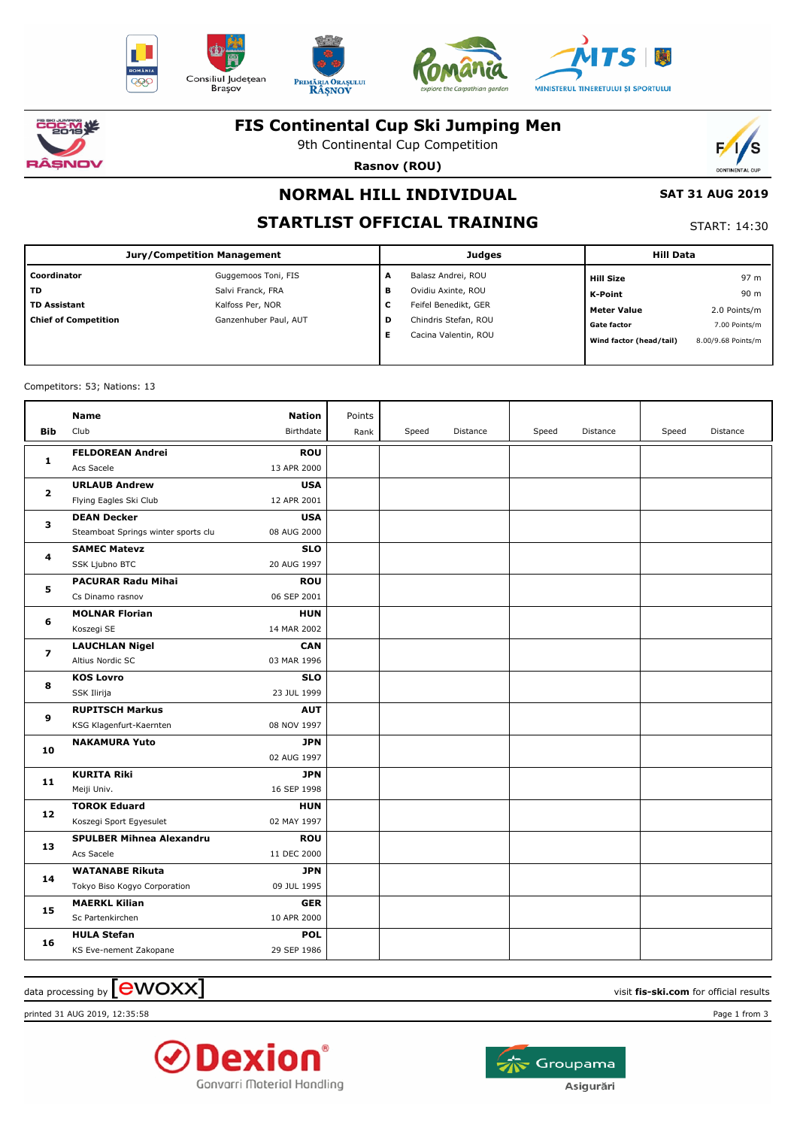











## **FIS Continental Cup Ski Jumping Men**

9th Continental Cup Competition

**Rasnov (ROU)**



# **NORMAL HILL INDIVIDUAL**

# **STARTLIST OFFICIAL TRAINING**

START: 14:30

 **SAT 31 AUG 2019**

| <b>Jury/Competition Management</b> |                       |   | <b>Judges</b>        | <b>Hill Data</b>        |                    |
|------------------------------------|-----------------------|---|----------------------|-------------------------|--------------------|
| Coordinator                        | Guggemoos Toni, FIS   | A | Balasz Andrei, ROU   | <b>Hill Size</b>        | 97 m               |
| <b>TD</b>                          | Salvi Franck, FRA     | в | Ovidiu Axinte, ROU   | K-Point                 | 90 m               |
| <b>TD Assistant</b>                | Kalfoss Per, NOR      | с | Feifel Benedikt, GER | Meter Value             | 2.0 Points/m       |
| <b>Chief of Competition</b>        | Ganzenhuber Paul, AUT | D | Chindris Stefan, ROU | <b>Gate factor</b>      | 7.00 Points/m      |
|                                    |                       |   | Cacina Valentin, ROU | Wind factor (head/tail) | 8.00/9.68 Points/m |
|                                    |                       |   |                      |                         |                    |

Competitors: 53; Nations: 13

| <b>Bib</b>     | <b>Name</b><br>Club                   | Nation<br>Birthdate       | Points<br>Rank | Speed | Distance | Speed | Distance | Speed | Distance |
|----------------|---------------------------------------|---------------------------|----------------|-------|----------|-------|----------|-------|----------|
| 1              | <b>FELDOREAN Andrei</b><br>Acs Sacele | <b>ROU</b><br>13 APR 2000 |                |       |          |       |          |       |          |
| $\mathbf{2}$   | <b>URLAUB Andrew</b>                  | <b>USA</b>                |                |       |          |       |          |       |          |
|                | Flying Eagles Ski Club                | 12 APR 2001               |                |       |          |       |          |       |          |
| з              | <b>DEAN Decker</b>                    | <b>USA</b>                |                |       |          |       |          |       |          |
|                | Steamboat Springs winter sports clu   | 08 AUG 2000               |                |       |          |       |          |       |          |
| 4              | <b>SAMEC Matevz</b>                   | <b>SLO</b>                |                |       |          |       |          |       |          |
|                | SSK Ljubno BTC                        | 20 AUG 1997               |                |       |          |       |          |       |          |
| 5              | <b>PACURAR Radu Mihai</b>             | <b>ROU</b>                |                |       |          |       |          |       |          |
|                | Cs Dinamo rasnov                      | 06 SEP 2001               |                |       |          |       |          |       |          |
| 6              | <b>MOLNAR Florian</b>                 | <b>HUN</b>                |                |       |          |       |          |       |          |
|                | Koszegi SE                            | 14 MAR 2002               |                |       |          |       |          |       |          |
| $\overline{ }$ | <b>LAUCHLAN Nigel</b>                 | <b>CAN</b>                |                |       |          |       |          |       |          |
|                | Altius Nordic SC                      | 03 MAR 1996               |                |       |          |       |          |       |          |
| 8              | <b>KOS Lovro</b>                      | <b>SLO</b>                |                |       |          |       |          |       |          |
|                | SSK Ilirija                           | 23 JUL 1999               |                |       |          |       |          |       |          |
| 9              | <b>RUPITSCH Markus</b>                | <b>AUT</b>                |                |       |          |       |          |       |          |
|                | KSG Klagenfurt-Kaernten               | 08 NOV 1997               |                |       |          |       |          |       |          |
| 10             | <b>NAKAMURA Yuto</b>                  | <b>JPN</b>                |                |       |          |       |          |       |          |
|                |                                       | 02 AUG 1997               |                |       |          |       |          |       |          |
| 11             | <b>KURITA Riki</b>                    | <b>JPN</b>                |                |       |          |       |          |       |          |
|                | Meiji Univ.                           | 16 SEP 1998               |                |       |          |       |          |       |          |
| 12             | <b>TOROK Eduard</b>                   | <b>HUN</b>                |                |       |          |       |          |       |          |
|                | Koszegi Sport Egyesulet               | 02 MAY 1997               |                |       |          |       |          |       |          |
| 13             | <b>SPULBER Mihnea Alexandru</b>       | <b>ROU</b>                |                |       |          |       |          |       |          |
|                | Acs Sacele                            | 11 DEC 2000               |                |       |          |       |          |       |          |
| 14             | <b>WATANABE Rikuta</b>                | <b>JPN</b>                |                |       |          |       |          |       |          |
|                | Tokyo Biso Kogyo Corporation          | 09 JUL 1995               |                |       |          |       |          |       |          |
| 15             | <b>MAERKL Kilian</b>                  | <b>GER</b>                |                |       |          |       |          |       |          |
|                | Sc Partenkirchen                      | 10 APR 2000               |                |       |          |       |          |       |          |
| 16             | <b>HULA Stefan</b>                    | <b>POL</b>                |                |       |          |       |          |       |          |
|                | KS Eve-nement Zakopane                | 29 SEP 1986               |                |       |          |       |          |       |          |

 $\alpha$  data processing by  $\boxed{\text{ewOX}}$ 

printed 31 AUG 2019, 12:35:58 Page 1 from 3



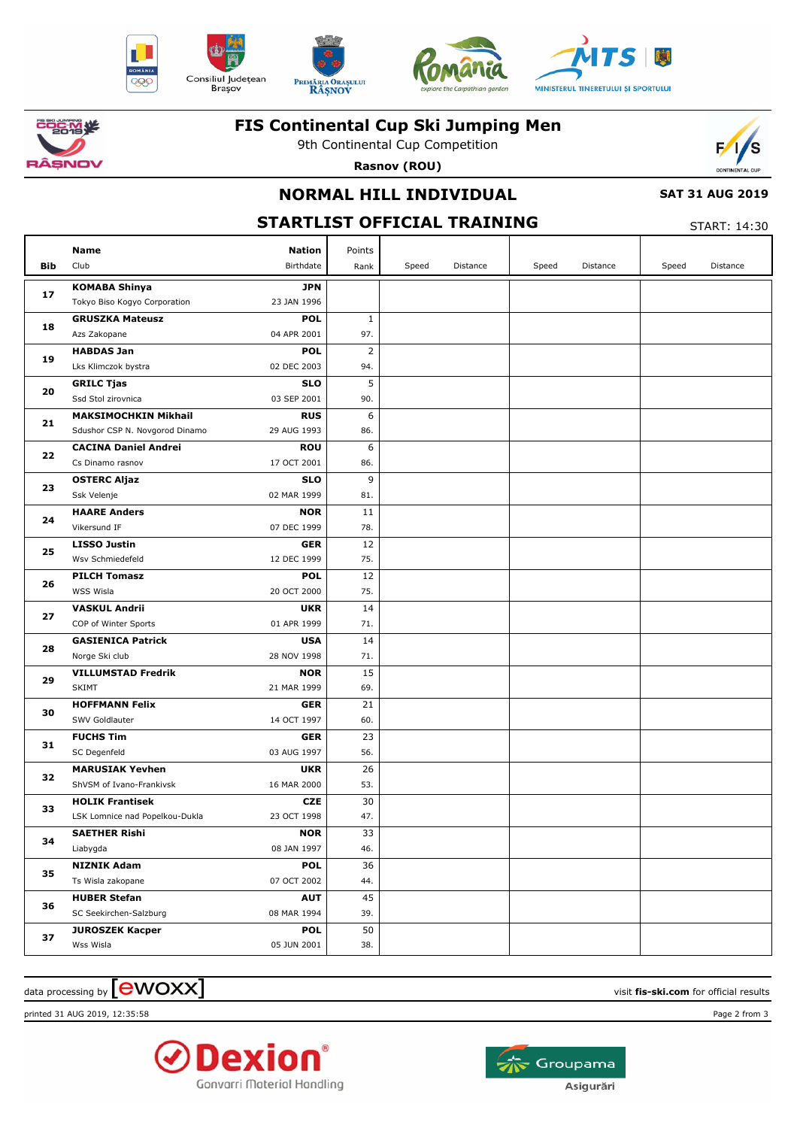











## **FIS Continental Cup Ski Jumping Men**

9th Continental Cup Competition **Rasnov (ROU)**



### **SAT 31 AUG 2019**

#### **NORMAL HILL INDIVIDUAL STARTLIST OFFICIAL TRAINING** START: 14:30 **Bib Name** Club Birthdate **Nation** Speed Distance | Speed Distance | Speed Distance Points Rank **KOMABA Shinya** Tokyo Biso Kogyo Corporation **JPN** 23 JAN 1996 **17 GRUSZKA Mateusz** Azs Zakopane **POL** 04 APR 2001 **18** 97. 1 **HABDAS Jan** Lks Klimczok bystra **POL** 02 DEC 2003 **19** 94.  $\overline{2}$ **GRILC Tjas** Ssd Stol zirovnica **SLO** 03 SEP 2001 **20** 90. 5 **MAKSIMOCHKIN Mikhail** Sdushor CSP N. Novgorod Dinamo **RUS** 29 AUG 1993 **21** 86. 6 **CACINA Daniel Andrei** Cs Dinamo rasnov **ROU** 17 OCT 2001 **22** 86. 6 **OSTERC Aljaz** Ssk Velenje **SLO** 02 MAR 1999 **23** 81. 9 **HAARE Anders** Vikersund IF **NOR** 07 DEC 1999 **24** 78. 11 **LISSO Justin** Wsv Schmiedefeld **GER** 12 DEC 1999 **25** 75. 12 **PILCH Tomasz** WSS Wisla **POL** 20 OCT 2000 **26** 75. 12 **VASKUL Andrii** COP of Winter Sports **UKR** 01 APR 1999 **27** 71. 14 **GASIENICA Patrick** Norge Ski club **USA** 28 NOV 1998 **28** 71. 14 **VILLUMSTAD Fredrik** SKIMT **NOR** 21 MAR 1999 **29** 69. 15 **HOFFMANN Felix** SWV Goldlauter **GER** 14 OCT 1997 **30** 60. 21 **FUCHS Tim** SC Degenfeld **GER** 03 AUG 1997 **31** 56. 23 **MARUSIAK Yevhen** ShVSM of Ivano-Frankivsk **UKR** 16 MAR 2000 **32** 53.  $\overline{26}$ **HOLIK Frantisek** LSK Lomnice nad Popelkou-Dukla **CZE** 23 OCT 1998 **33** 47. 30

 $\alpha$  data processing by  $\boxed{\text{ewOX}}$ 



Wss Wisla

**SAETHER Rishi** Liabygda

**NIZNIK Adam** Ts Wisla zakopane

**HUBER Stefan** SC Seekirchen-Salzburg

**JUROSZEK Kacper**

**34**

**35**

**36**

**37**



**NOR** 08 JAN 1997

**POL** 07 OCT 2002

**AUT** 08 MAR 1994

**POL** 05 JUN 2001 46.  $\overline{33}$ 

44. 36

39. 45

38. 50